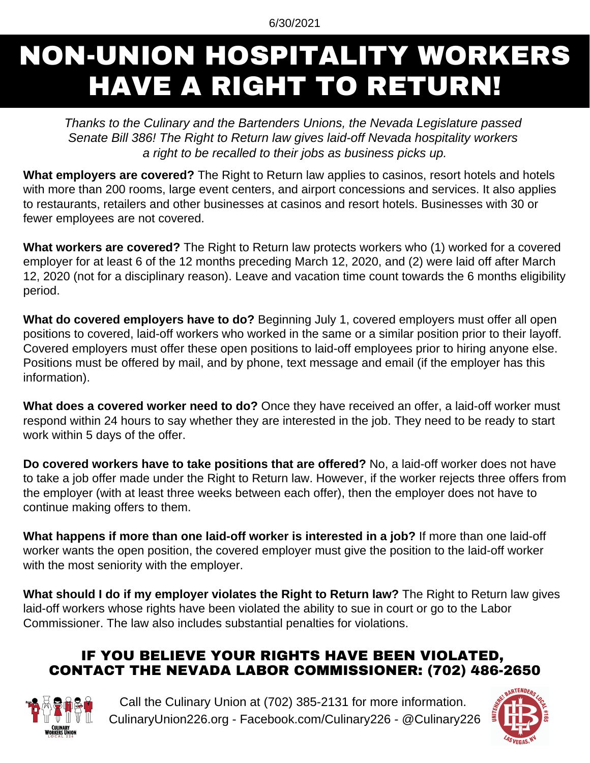#### 6/30/2021

# NON-UNION HOSPITALITY WORKERS HAVE A RIGHT TO RETURN!

*Thanks to the Culinary and the Bartenders Unions, the Nevada Legislature passed Senate Bill 386! The Right to Return law gives laid-off Nevada hospitality workers a right to be recalled to their jobs as business picks up.*

**What employers are covered?** The Right to Return law applies to casinos, resort hotels and hotels with more than 200 rooms, large event centers, and airport concessions and services. It also applies to restaurants, retailers and other businesses at casinos and resort hotels. Businesses with 30 or fewer employees are not covered.

**What workers are covered?** The Right to Return law protects workers who (1) worked for a covered employer for at least 6 of the 12 months preceding March 12, 2020, and (2) were laid off after March 12, 2020 (not for a disciplinary reason). Leave and vacation time count towards the 6 months eligibility period.

**What do covered employers have to do?** Beginning July 1, covered employers must offer all open positions to covered, laid-off workers who worked in the same or a similar position prior to their layoff. Covered employers must offer these open positions to laid-off employees prior to hiring anyone else. Positions must be offered by mail, and by phone, text message and email (if the employer has this information).

**What does a covered worker need to do?** Once they have received an offer, a laid-off worker must respond within 24 hours to say whether they are interested in the job. They need to be ready to start work within 5 days of the offer.

**Do covered workers have to take positions that are offered?** No, a laid-off worker does not have to take a job offer made under the Right to Return law. However, if the worker rejects three offers from the employer (with at least three weeks between each offer), then the employer does not have to continue making offers to them.

**What happens if more than one laid-off worker is interested in a job?** If more than one laid-off worker wants the open position, the covered employer must give the position to the laid-off worker with the most seniority with the employer.

**What should I do if my employer violates the Right to Return law?** The Right to Return law gives laid-off workers whose rights have been violated the ability to sue in court or go to the Labor Commissioner. The law also includes substantial penalties for violations.

## IF YOU BELIEVE YOUR RIGHTS HAVE BEEN VIOLATED, CONTACT THE NEVADA LABOR COMMISSIONER: (702) 486-2650



Call the Culinary Union at (702) 385-2131 for more information. CulinaryUnion226.org - Facebook.com/Culinary226 - @Culinary226